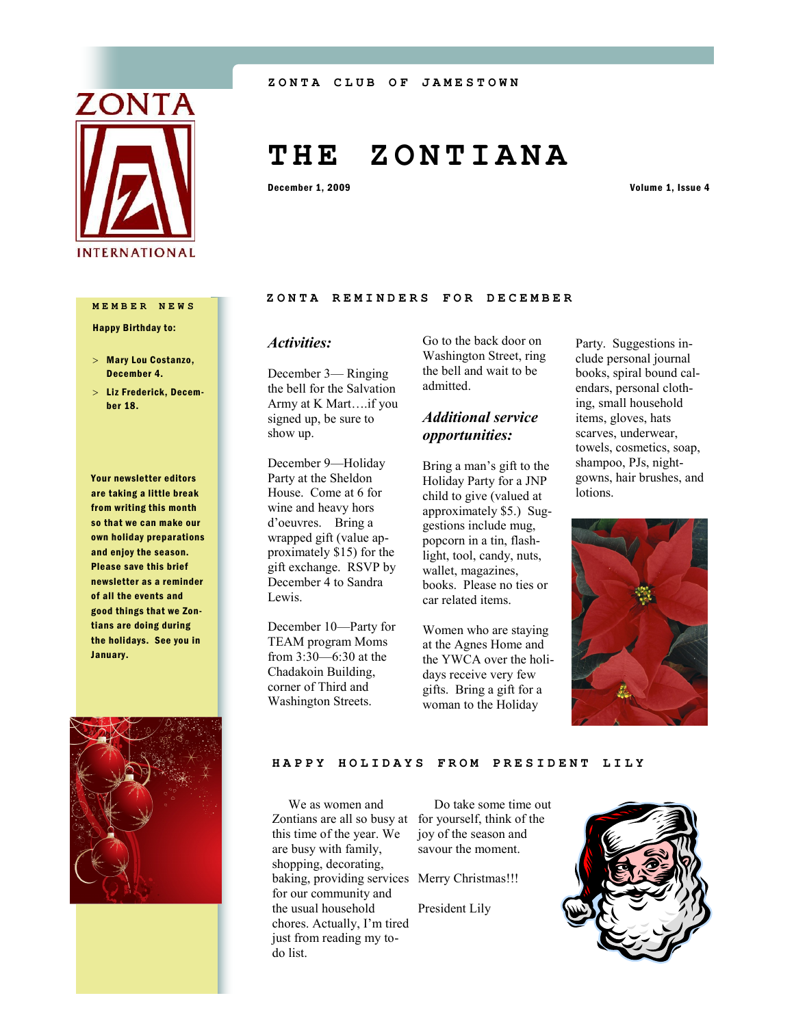

# **T H E Z O N T I A N A**

December 1, 2009 Volume 1, Issue 4

# **MEMBER NEWS**

Happy Birthday to:

- Mary Lou Costanzo, December 4.
- Liz Frederick, December 18.

Your newsletter editors are taking a little break from writing this month so that we can make our own holiday preparations and enjoy the season. Please save this brief newsletter as a reminder of all the events and good things that we Zontians are doing during the holidays. See you in January.



## ZONTA REMINDERS FOR DECEMBER

## *Activities:*

December 3— Ringing the bell for the Salvation Army at K Mart….if you signed up, be sure to show up.

December 9—Holiday Party at the Sheldon House. Come at 6 for wine and heavy hors d'oeuvres. Bring a wrapped gift (value approximately \$15) for the gift exchange. RSVP by December 4 to Sandra Lewis.

December 10—Party for TEAM program Moms from 3:30—6:30 at the Chadakoin Building, corner of Third and Washington Streets.

Go to the back door on Washington Street, ring the bell and wait to be admitted.

# *Additional service opportunities:*

Bring a man's gift to the Holiday Party for a JNP child to give (valued at approximately \$5.) Suggestions include mug, popcorn in a tin, flashlight, tool, candy, nuts, wallet, magazines, books. Please no ties or car related items.

Women who are staying at the Agnes Home and the YWCA over the holidays receive very few gifts. Bring a gift for a woman to the Holiday

Party. Suggestions include personal journal books, spiral bound calendars, personal clothing, small household items, gloves, hats scarves, underwear, towels, cosmetics, soap, shampoo, PJs, nightgowns, hair brushes, and lotions.



**HAPPY HOLIDAYS FROM PRESIDENT LILY**

 We as women and Zontians are all so busy at for yourself, think of the this time of the year. We are busy with family, shopping, decorating, baking, providing services Merry Christmas!!! for our community and the usual household chores. Actually, I'm tired just from reading my todo list.

 Do take some time out joy of the season and savour the moment.

President Lily